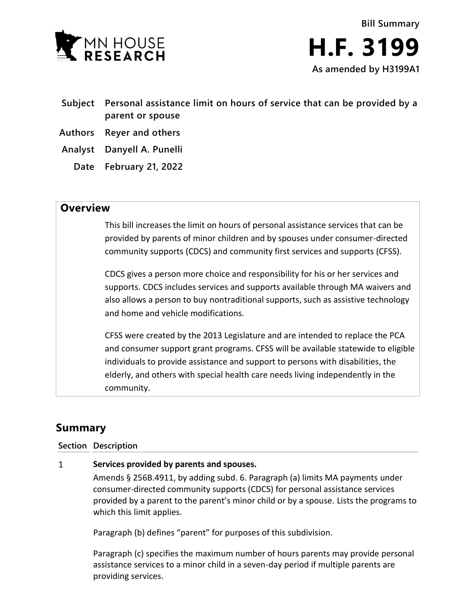

- **Subject Personal assistance limit on hours of service that can be provided by a parent or spouse**
- **Authors Reyer and others**
- **Analyst Danyell A. Punelli**
	- **Date February 21, 2022**

## **Overview**

This bill increases the limit on hours of personal assistance services that can be provided by parents of minor children and by spouses under consumer-directed community supports (CDCS) and community first services and supports (CFSS).

CDCS gives a person more choice and responsibility for his or her services and supports. CDCS includes services and supports available through MA waivers and also allows a person to buy nontraditional supports, such as assistive technology and home and vehicle modifications.

CFSS were created by the 2013 Legislature and are intended to replace the PCA and consumer support grant programs. CFSS will be available statewide to eligible individuals to provide assistance and support to persons with disabilities, the elderly, and others with special health care needs living independently in the community.

# **Summary**

### **Section Description**

#### $\mathbf{1}$ **Services provided by parents and spouses.**

Amends § 256B.4911, by adding subd. 6. Paragraph (a) limits MA payments under consumer-directed community supports (CDCS) for personal assistance services provided by a parent to the parent's minor child or by a spouse. Lists the programs to which this limit applies.

Paragraph (b) defines "parent" for purposes of this subdivision.

Paragraph (c) specifies the maximum number of hours parents may provide personal assistance services to a minor child in a seven-day period if multiple parents are providing services.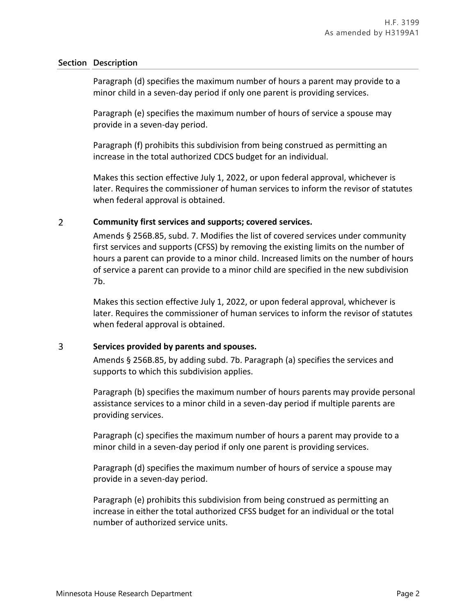### **Section Description**

Paragraph (d) specifies the maximum number of hours a parent may provide to a minor child in a seven-day period if only one parent is providing services.

Paragraph (e) specifies the maximum number of hours of service a spouse may provide in a seven-day period.

Paragraph (f) prohibits this subdivision from being construed as permitting an increase in the total authorized CDCS budget for an individual.

Makes this section effective July 1, 2022, or upon federal approval, whichever is later. Requires the commissioner of human services to inform the revisor of statutes when federal approval is obtained.

#### $\overline{2}$ **Community first services and supports; covered services.**

Amends § 256B.85, subd. 7. Modifies the list of covered services under community first services and supports (CFSS) by removing the existing limits on the number of hours a parent can provide to a minor child. Increased limits on the number of hours of service a parent can provide to a minor child are specified in the new subdivision 7b.

Makes this section effective July 1, 2022, or upon federal approval, whichever is later. Requires the commissioner of human services to inform the revisor of statutes when federal approval is obtained.

#### $\overline{3}$ **Services provided by parents and spouses.**

Amends § 256B.85, by adding subd. 7b. Paragraph (a) specifies the services and supports to which this subdivision applies.

Paragraph (b) specifies the maximum number of hours parents may provide personal assistance services to a minor child in a seven-day period if multiple parents are providing services.

Paragraph (c) specifies the maximum number of hours a parent may provide to a minor child in a seven-day period if only one parent is providing services.

Paragraph (d) specifies the maximum number of hours of service a spouse may provide in a seven-day period.

Paragraph (e) prohibits this subdivision from being construed as permitting an increase in either the total authorized CFSS budget for an individual or the total number of authorized service units.